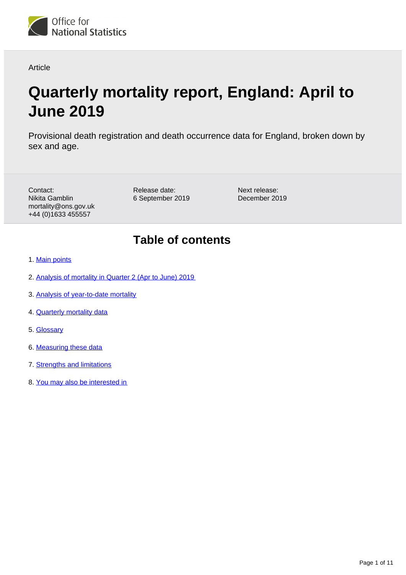

Article

# **Quarterly mortality report, England: April to June 2019**

Provisional death registration and death occurrence data for England, broken down by sex and age.

Contact: Nikita Gamblin mortality@ons.gov.uk +44 (0)1633 455557

Release date: 6 September 2019

Next release: December 2019

## **Table of contents**

- 1. [Main points](#page-1-0)
- 2. [Analysis of mortality in Quarter 2 \(Apr to June\) 2019](#page-1-1)
- 3. [Analysis of year-to-date mortality](#page-6-0)
- 4. [Quarterly mortality data](#page-7-0)
- 5. [Glossary](#page-8-0)
- 6. [Measuring these data](#page-8-1)
- 7. [Strengths and limitations](#page-9-0)
- 8. [You may also be interested in](#page-10-0)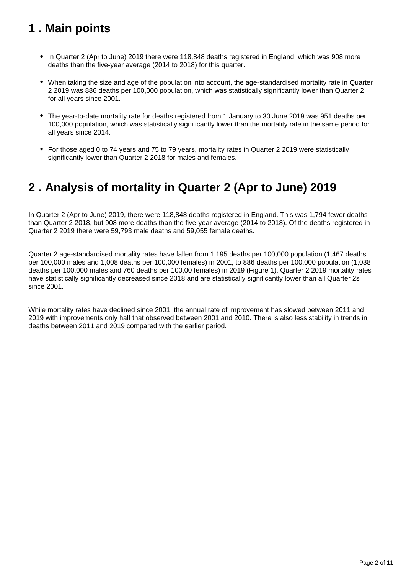## <span id="page-1-0"></span>**1 . Main points**

- In Quarter 2 (Apr to June) 2019 there were 118,848 deaths registered in England, which was 908 more deaths than the five-year average (2014 to 2018) for this quarter.
- When taking the size and age of the population into account, the age-standardised mortality rate in Quarter 2 2019 was 886 deaths per 100,000 population, which was statistically significantly lower than Quarter 2 for all years since 2001.
- The year-to-date mortality rate for deaths registered from 1 January to 30 June 2019 was 951 deaths per 100,000 population, which was statistically significantly lower than the mortality rate in the same period for all years since 2014.
- For those aged 0 to 74 years and 75 to 79 years, mortality rates in Quarter 2 2019 were statistically significantly lower than Quarter 2 2018 for males and females.

## <span id="page-1-1"></span>**2 . Analysis of mortality in Quarter 2 (Apr to June) 2019**

In Quarter 2 (Apr to June) 2019, there were 118,848 deaths registered in England. This was 1,794 fewer deaths than Quarter 2 2018, but 908 more deaths than the five-year average (2014 to 2018). Of the deaths registered in Quarter 2 2019 there were 59,793 male deaths and 59,055 female deaths.

Quarter 2 age-standardised mortality rates have fallen from 1,195 deaths per 100,000 population (1,467 deaths per 100,000 males and 1,008 deaths per 100,000 females) in 2001, to 886 deaths per 100,000 population (1,038 deaths per 100,000 males and 760 deaths per 100,00 females) in 2019 (Figure 1). Quarter 2 2019 mortality rates have statistically significantly decreased since 2018 and are statistically significantly lower than all Quarter 2s since 2001.

While mortality rates have declined since 2001, the annual rate of improvement has slowed between 2011 and 2019 with improvements only half that observed between 2001 and 2010. There is also less stability in trends in deaths between 2011 and 2019 compared with the earlier period.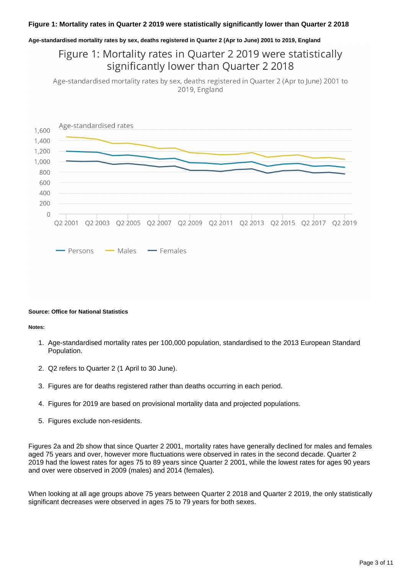#### **Age-standardised mortality rates by sex, deaths registered in Quarter 2 (Apr to June) 2001 to 2019, England**

### Figure 1: Mortality rates in Quarter 2 2019 were statistically significantly lower than Quarter 2 2018

Age-standardised mortality rates by sex, deaths registered in Quarter 2 (Apr to June) 2001 to 2019, England



#### **Source: Office for National Statistics**

#### **Notes:**

- 1. Age-standardised mortality rates per 100,000 population, standardised to the 2013 European Standard Population.
- 2. Q2 refers to Quarter 2 (1 April to 30 June).
- 3. Figures are for deaths registered rather than deaths occurring in each period.
- 4. Figures for 2019 are based on provisional mortality data and projected populations.
- 5. Figures exclude non-residents.

Figures 2a and 2b show that since Quarter 2 2001, mortality rates have generally declined for males and females aged 75 years and over, however more fluctuations were observed in rates in the second decade. Quarter 2 2019 had the lowest rates for ages 75 to 89 years since Quarter 2 2001, while the lowest rates for ages 90 years and over were observed in 2009 (males) and 2014 (females).

When looking at all age groups above 75 years between Quarter 2 2018 and Quarter 2 2019, the only statistically significant decreases were observed in ages 75 to 79 years for both sexes.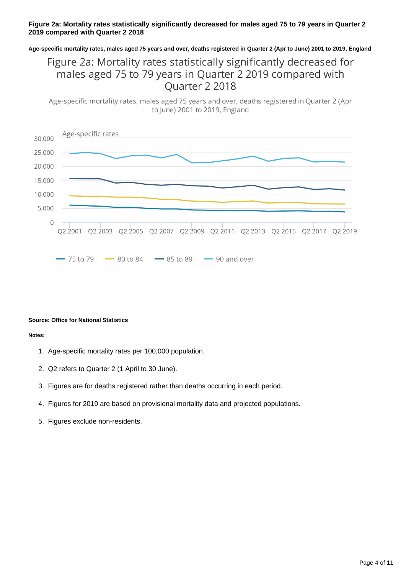#### **Figure 2a: Mortality rates statistically significantly decreased for males aged 75 to 79 years in Quarter 2 2019 compared with Quarter 2 2018**

**Age-specific mortality rates, males aged 75 years and over, deaths registered in Quarter 2 (Apr to June) 2001 to 2019, England**

### Figure 2a: Mortality rates statistically significantly decreased for males aged 75 to 79 years in Quarter 2 2019 compared with Ouarter 2 2018

Age-specific mortality rates, males aged 75 years and over, deaths registered in Quarter 2 (Apr to June) 2001 to 2019, England



#### **Source: Office for National Statistics**

**Notes:**

- 1. Age-specific mortality rates per 100,000 population.
- 2. Q2 refers to Quarter 2 (1 April to 30 June).
- 3. Figures are for deaths registered rather than deaths occurring in each period.
- 4. Figures for 2019 are based on provisional mortality data and projected populations.
- 5. Figures exclude non-residents.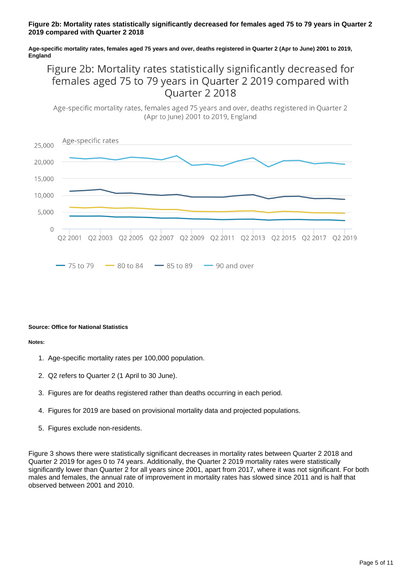#### **Figure 2b: Mortality rates statistically significantly decreased for females aged 75 to 79 years in Quarter 2 2019 compared with Quarter 2 2018**

#### **Age-specific mortality rates, females aged 75 years and over, deaths registered in Quarter 2 (Apr to June) 2001 to 2019, England**

## Figure 2b: Mortality rates statistically significantly decreased for females aged 75 to 79 years in Quarter 2 2019 compared with Ouarter 2 2018

Age-specific mortality rates, females aged 75 years and over, deaths registered in Quarter 2 (Apr to lune) 2001 to 2019, England



#### **Source: Office for National Statistics**

#### **Notes:**

- 1. Age-specific mortality rates per 100,000 population.
- 2. Q2 refers to Quarter 2 (1 April to 30 June).
- 3. Figures are for deaths registered rather than deaths occurring in each period.
- 4. Figures for 2019 are based on provisional mortality data and projected populations.
- 5. Figures exclude non-residents.

Figure 3 shows there were statistically significant decreases in mortality rates between Quarter 2 2018 and Quarter 2 2019 for ages 0 to 74 years. Additionally, the Quarter 2 2019 mortality rates were statistically significantly lower than Quarter 2 for all years since 2001, apart from 2017, where it was not significant. For both males and females, the annual rate of improvement in mortality rates has slowed since 2011 and is half that observed between 2001 and 2010.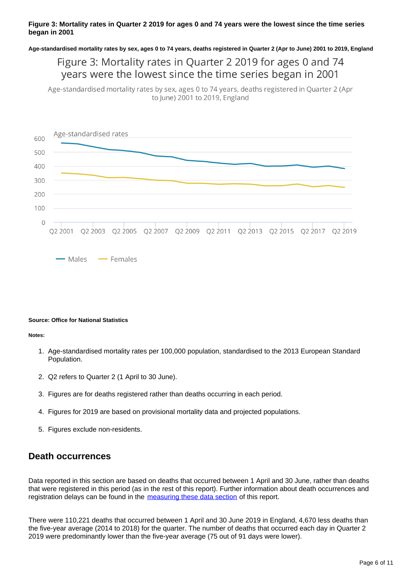#### **Figure 3: Mortality rates in Quarter 2 2019 for ages 0 and 74 years were the lowest since the time series began in 2001**

**Age-standardised mortality rates by sex, ages 0 to 74 years, deaths registered in Quarter 2 (Apr to June) 2001 to 2019, England**

### Figure 3: Mortality rates in Quarter 2 2019 for ages 0 and 74 years were the lowest since the time series began in 2001

Age-standardised mortality rates by sex, ages 0 to 74 years, deaths registered in Quarter 2 (Apr to June) 2001 to 2019, England



#### **Source: Office for National Statistics**

**Notes:**

- 1. Age-standardised mortality rates per 100,000 population, standardised to the 2013 European Standard Population.
- 2. Q2 refers to Quarter 2 (1 April to 30 June).
- 3. Figures are for deaths registered rather than deaths occurring in each period.
- 4. Figures for 2019 are based on provisional mortality data and projected populations.
- 5. Figures exclude non-residents.

### **Death occurrences**

Data reported in this section are based on deaths that occurred between 1 April and 30 June, rather than deaths that were registered in this period (as in the rest of this report). Further information about death occurrences and registration delays can be found in the [measuring these data section](https://www.ons.gov.uk/peoplepopulationandcommunity/birthsdeathsandmarriages/deaths/articles/quarterlymortalityreports/apriltojune2019#measuring-these-data) of this report.

There were 110,221 deaths that occurred between 1 April and 30 June 2019 in England, 4,670 less deaths than the five-year average (2014 to 2018) for the quarter. The number of deaths that occurred each day in Quarter 2 2019 were predominantly lower than the five-year average (75 out of 91 days were lower).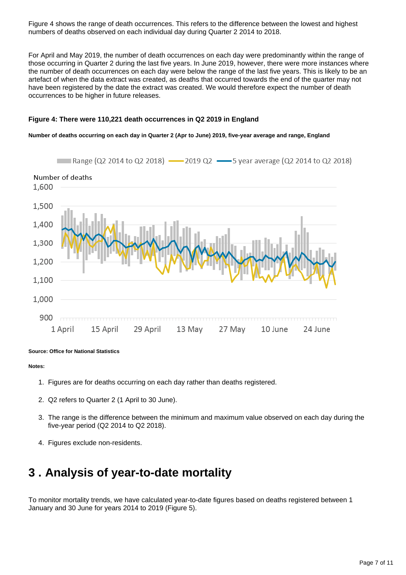Figure 4 shows the range of death occurrences. This refers to the difference between the lowest and highest numbers of deaths observed on each individual day during Quarter 2 2014 to 2018.

For April and May 2019, the number of death occurrences on each day were predominantly within the range of those occurring in Quarter 2 during the last five years. In June 2019, however, there were more instances where the number of death occurrences on each day were below the range of the last five years. This is likely to be an artefact of when the data extract was created, as deaths that occurred towards the end of the quarter may not have been registered by the date the extract was created. We would therefore expect the number of death occurrences to be higher in future releases.

#### **Figure 4: There were 110,221 death occurrences in Q2 2019 in England**

#### **Number of deaths occurring on each day in Quarter 2 (Apr to June) 2019, five-year average and range, England**



#### **Source: Office for National Statistics**

#### **Notes:**

- 1. Figures are for deaths occurring on each day rather than deaths registered.
- 2. Q2 refers to Quarter 2 (1 April to 30 June).
- 3. The range is the difference between the minimum and maximum value observed on each day during the five-year period (Q2 2014 to Q2 2018).
- 4. Figures exclude non-residents.

## <span id="page-6-0"></span>**3 . Analysis of year-to-date mortality**

To monitor mortality trends, we have calculated year-to-date figures based on deaths registered between 1 January and 30 June for years 2014 to 2019 (Figure 5).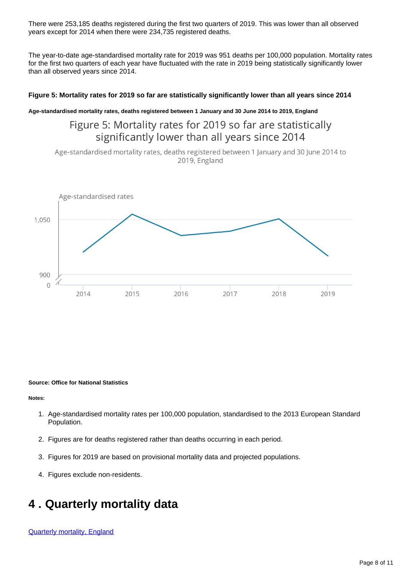There were 253,185 deaths registered during the first two quarters of 2019. This was lower than all observed years except for 2014 when there were 234,735 registered deaths.

The year-to-date age-standardised mortality rate for 2019 was 951 deaths per 100,000 population. Mortality rates for the first two quarters of each year have fluctuated with the rate in 2019 being statistically significantly lower than all observed years since 2014.

#### **Figure 5: Mortality rates for 2019 so far are statistically significantly lower than all years since 2014**

#### **Age-standardised mortality rates, deaths registered between 1 January and 30 June 2014 to 2019, England**

### Figure 5: Mortality rates for 2019 so far are statistically significantly lower than all years since 2014

Age-standardised mortality rates, deaths registered between 1 January and 30 June 2014 to 2019, England



#### **Source: Office for National Statistics**

**Notes:**

- 1. Age-standardised mortality rates per 100,000 population, standardised to the 2013 European Standard Population.
- 2. Figures are for deaths registered rather than deaths occurring in each period.
- 3. Figures for 2019 are based on provisional mortality data and projected populations.
- 4. Figures exclude non-residents.

## <span id="page-7-0"></span>**4 . Quarterly mortality data**

[Quarterly mortality, England](https://www.ons.gov.uk/peoplepopulationandcommunity/birthsdeathsandmarriages/deaths/datasets/quarterlymortalityreportsanalysis)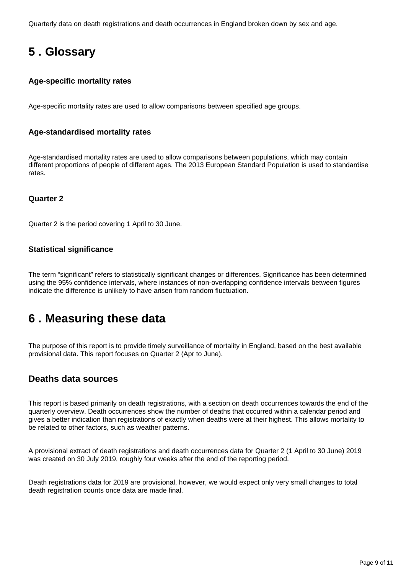Quarterly data on death registrations and death occurrences in England broken down by sex and age.

## <span id="page-8-0"></span>**5 . Glossary**

### **Age-specific mortality rates**

Age-specific mortality rates are used to allow comparisons between specified age groups.

### **Age-standardised mortality rates**

Age-standardised mortality rates are used to allow comparisons between populations, which may contain different proportions of people of different ages. The 2013 European Standard Population is used to standardise rates.

### **Quarter 2**

Quarter 2 is the period covering 1 April to 30 June.

### **Statistical significance**

The term "significant" refers to statistically significant changes or differences. Significance has been determined using the 95% confidence intervals, where instances of non-overlapping confidence intervals between figures indicate the difference is unlikely to have arisen from random fluctuation.

## <span id="page-8-1"></span>**6 . Measuring these data**

The purpose of this report is to provide timely surveillance of mortality in England, based on the best available provisional data. This report focuses on Quarter 2 (Apr to June).

### **Deaths data sources**

This report is based primarily on death registrations, with a section on death occurrences towards the end of the quarterly overview. Death occurrences show the number of deaths that occurred within a calendar period and gives a better indication than registrations of exactly when deaths were at their highest. This allows mortality to be related to other factors, such as weather patterns.

A provisional extract of death registrations and death occurrences data for Quarter 2 (1 April to 30 June) 2019 was created on 30 July 2019, roughly four weeks after the end of the reporting period.

Death registrations data for 2019 are provisional, however, we would expect only very small changes to total death registration counts once data are made final.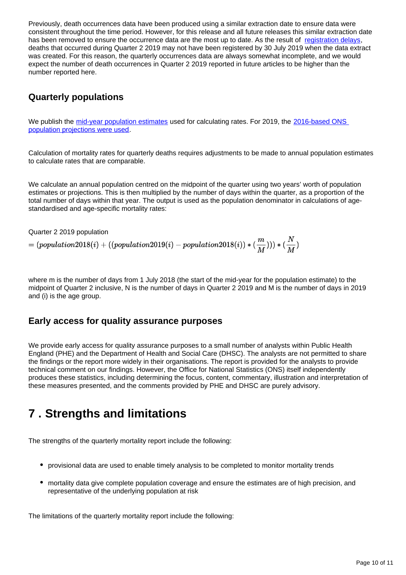Previously, death occurrences data have been produced using a similar extraction date to ensure data were consistent throughout the time period. However, for this release and all future releases this similar extraction date has been removed to ensure the occurrence data are the most up to date. As the result of [registration delays,](https://www.ons.gov.uk/peoplepopulationandcommunity/birthsdeathsandmarriages/deaths/methodologies/impactofregistrationdelaysonmortalitystatistics2016) deaths that occurred during Quarter 2 2019 may not have been registered by 30 July 2019 when the data extract was created. For this reason, the quarterly occurrences data are always somewhat incomplete, and we would expect the number of death occurrences in Quarter 2 2019 reported in future articles to be higher than the number reported here.

### **Quarterly populations**

We publish the [mid-year population estimates](https://www.ons.gov.uk/peoplepopulationandcommunity/populationandmigration/populationestimates/datasets/populationestimatesforukenglandandwalesscotlandandnorthernireland) used for calculating rates. For 2019, the 2016-based ONS [population projections were used.](https://www.ons.gov.uk/peoplepopulationandcommunity/populationandmigration/populationprojections/bulletins/nationalpopulationprojections/2016basedstatisticalbulletin/relateddata)

Calculation of mortality rates for quarterly deaths requires adjustments to be made to annual population estimates to calculate rates that are comparable.

We calculate an annual population centred on the midpoint of the quarter using two years' worth of population estimates or projections. This is then multiplied by the number of days within the quarter, as a proportion of the total number of days within that year. The output is used as the population denominator in calculations of agestandardised and age-specific mortality rates:

Quarter 2 2019 population

 $\mathcal{L} = (population 2018(i) + ((population 2019(i) - population 2018(i)) * (\frac{m}{M}))) * (\frac{N}{M})$ 

where m is the number of days from 1 July 2018 (the start of the mid-year for the population estimate) to the midpoint of Quarter 2 inclusive, N is the number of days in Quarter 2 2019 and M is the number of days in 2019 and (i) is the age group.

### **Early access for quality assurance purposes**

We provide early access for quality assurance purposes to a small number of analysts within Public Health England (PHE) and the Department of Health and Social Care (DHSC). The analysts are not permitted to share the findings or the report more widely in their organisations. The report is provided for the analysts to provide technical comment on our findings. However, the Office for National Statistics (ONS) itself independently produces these statistics, including determining the focus, content, commentary, illustration and interpretation of these measures presented, and the comments provided by PHE and DHSC are purely advisory.

## <span id="page-9-0"></span>**7 . Strengths and limitations**

The strengths of the quarterly mortality report include the following:

- provisional data are used to enable timely analysis to be completed to monitor mortality trends
- mortality data give complete population coverage and ensure the estimates are of high precision, and representative of the underlying population at risk

The limitations of the quarterly mortality report include the following: